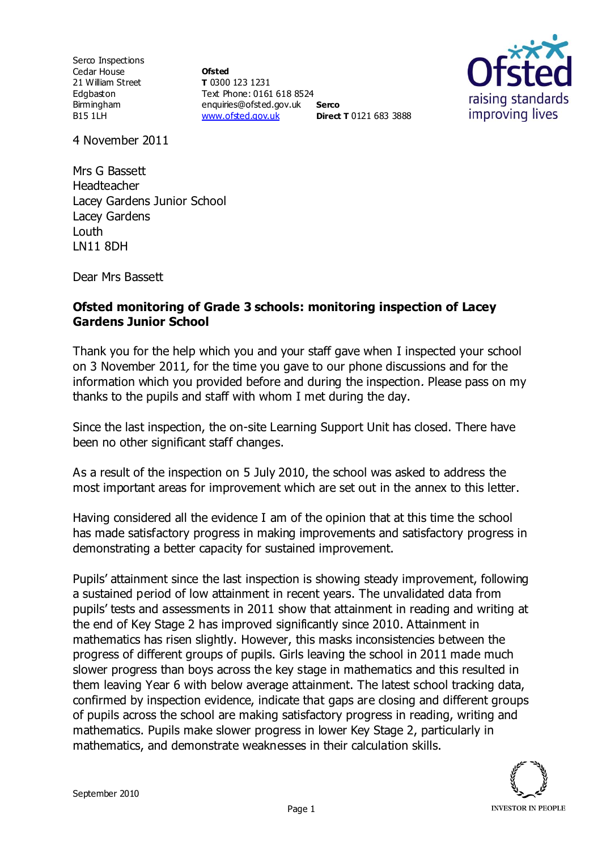Serco Inspections Cedar House 21 William Street Edgbaston Birmingham B15 1LH

**Ofsted T** 0300 123 1231 Text Phone: 0161 618 8524 enquiries@ofsted.gov.uk **Serco** [www.ofsted.gov.uk](http://www.ofsted.gov.uk/) **Direct T** 0121 683 3888



4 November 2011

Mrs G Bassett Headteacher Lacey Gardens Junior School Lacey Gardens Louth LN11 8DH

Dear Mrs Bassett

## **Ofsted monitoring of Grade 3 schools: monitoring inspection of Lacey Gardens Junior School**

Thank you for the help which you and your staff gave when I inspected your school on 3 November 2011, for the time you gave to our phone discussions and for the information which you provided before and during the inspection. Please pass on my thanks to the pupils and staff with whom I met during the day.

Since the last inspection, the on-site Learning Support Unit has closed. There have been no other significant staff changes.

As a result of the inspection on 5 July 2010, the school was asked to address the most important areas for improvement which are set out in the annex to this letter.

Having considered all the evidence I am of the opinion that at this time the school has made satisfactory progress in making improvements and satisfactory progress in demonstrating a better capacity for sustained improvement.

Pupils' attainment since the last inspection is showing steady improvement, following a sustained period of low attainment in recent years. The unvalidated data from pupils' tests and assessments in 2011 show that attainment in reading and writing at the end of Key Stage 2 has improved significantly since 2010. Attainment in mathematics has risen slightly. However, this masks inconsistencies between the progress of different groups of pupils. Girls leaving the school in 2011 made much slower progress than boys across the key stage in mathematics and this resulted in them leaving Year 6 with below average attainment. The latest school tracking data, confirmed by inspection evidence, indicate that gaps are closing and different groups of pupils across the school are making satisfactory progress in reading, writing and mathematics. Pupils make slower progress in lower Key Stage 2, particularly in mathematics, and demonstrate weaknesses in their calculation skills.

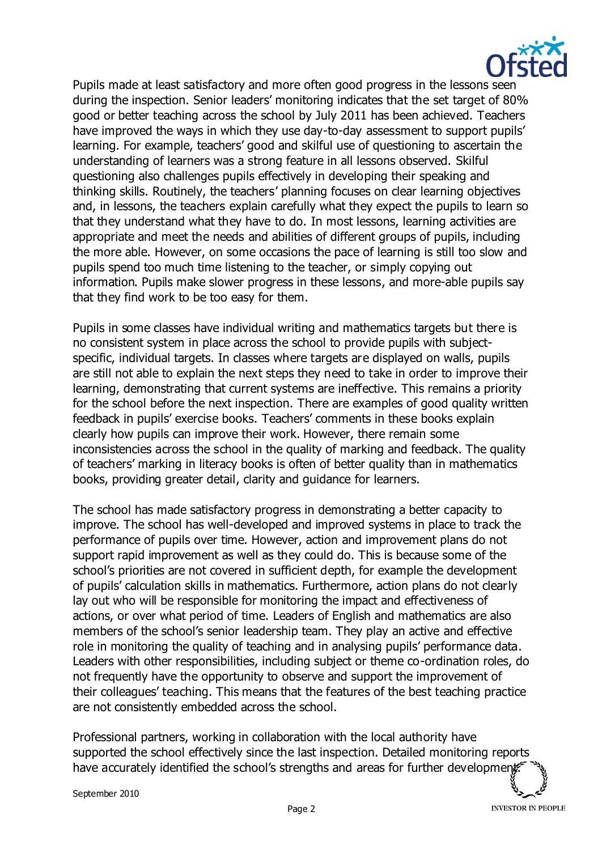

Pupils made at least satisfactory and more often good progress in the lessons seen during the inspection. Senior leaders' monitoring indicates that the set target of 80% good or better teaching across the school by July 2011 has been achieved. Teachers have improved the ways in which they use day-to-day assessment to support pupils' learning. For example, teachers' good and skilful use of questioning to ascertain the understanding of learners was a strong feature in all lessons observed. Skilful questioning also challenges pupils effectively in developing their speaking and thinking skills. Routinely, the teachers' planning focuses on clear learning objectives and, in lessons, the teachers explain carefully what they expect the pupils to learn so that they understand what they have to do. In most lessons, learning activities are appropriate and meet the needs and abilities of different groups of pupils, including the more able. However, on some occasions the pace of learning is still too slow and pupils spend too much time listening to the teacher, or simply copying out information. Pupils make slower progress in these lessons, and more-able pupils say that they find work to be too easy for them.

Pupils in some classes have individual writing and mathematics targets but there is no consistent system in place across the school to provide pupils with subjectspecific, individual targets. In classes where targets are displayed on walls, pupils are still not able to explain the next steps they need to take in order to improve their learning, demonstrating that current systems are ineffective. This remains a priority for the school before the next inspection. There are examples of good quality written feedback in pupils' exercise books. Teachers' comments in these books explain clearly how pupils can improve their work. However, there remain some inconsistencies across the school in the quality of marking and feedback. The quality of teachers' marking in literacy books is often of better quality than in mathematics books, providing greater detail, clarity and guidance for learners.

The school has made satisfactory progress in demonstrating a better capacity to improve. The school has well-developed and improved systems in place to track the performance of pupils over time. However, action and improvement plans do not support rapid improvement as well as they could do. This is because some of the school's priorities are not covered in sufficient depth, for example the development of pupils' calculation skills in mathematics. Furthermore, action plans do not clearly lay out who will be responsible for monitoring the impact and effectiveness of actions, or over what period of time. Leaders of English and mathematics are also members of the school's senior leadership team. They play an active and effective role in monitoring the quality of teaching and in analysing pupils' performance data. Leaders with other responsibilities, including subject or theme co-ordination roles, do not frequently have the opportunity to observe and support the improvement of their colleagues' teaching. This means that the features of the best teaching practice are not consistently embedded across the school.

Professional partners, working in collaboration with the local authority have supported the school effectively since the last inspection. Detailed monitoring reports have accurately identified the school's strengths and areas for further development

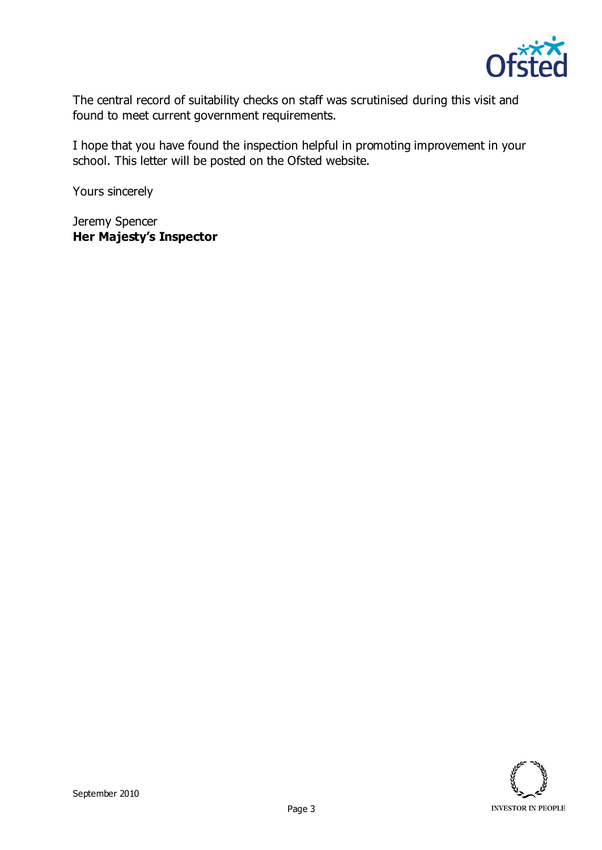

The central record of suitability checks on staff was scrutinised during this visit and found to meet current government requirements.

I hope that you have found the inspection helpful in promoting improvement in your school. This letter will be posted on the Ofsted website.

Yours sincerely

Jeremy Spencer **Her Majesty's Inspector**